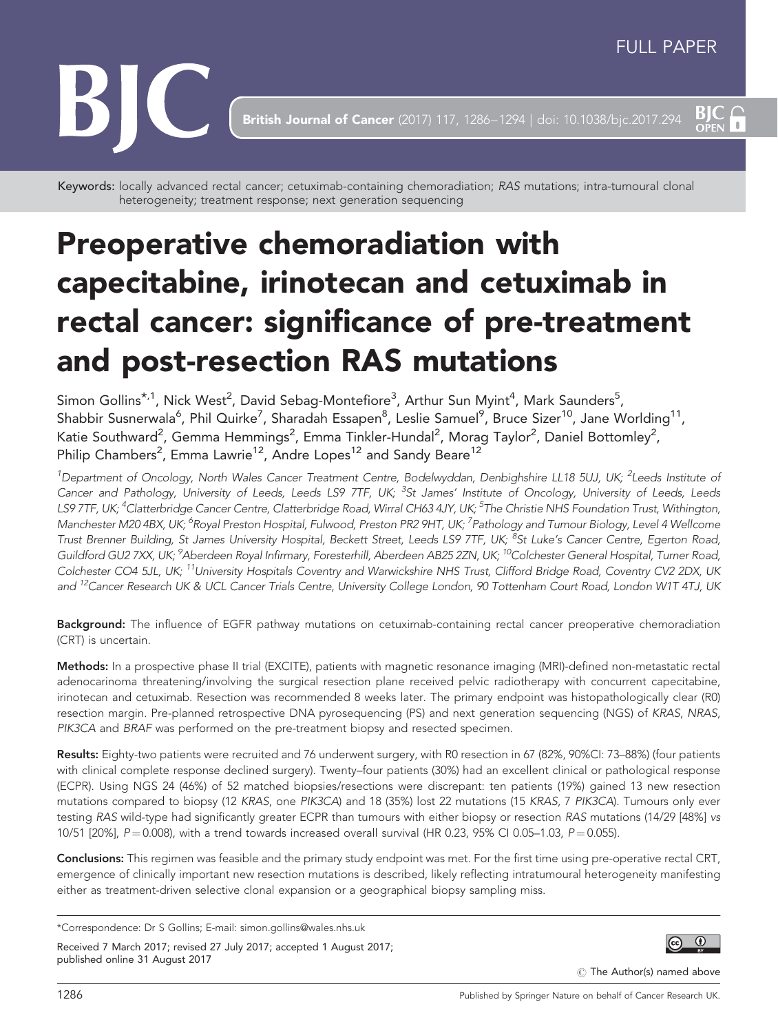$BIC<sub>OPEN</sub>$ 



**British Journal of Cancer** (2017) 117, 1286-1294 | doi: 10.1038/bjc.2017.294

Keywords: locally advanced rectal cancer; cetuximab-containing chemoradiation; RAS mutations; intra-tumoural clonal heterogeneity; treatment response; next generation sequencing

# Preoperative chemoradiation with capecitabine, irinotecan and cetuximab in rectal cancer: significance of pre-treatment and post-resection RAS mutations

Simon Gollins $^{\star,1}$ , Nick West $^2$ , David Sebag-Montefiore $^3$ , Arthur Sun Myint $^4$ , Mark Saunders $^5$ , Shabbir Susnerwala<sup>6</sup>, Phil Quirke<sup>7</sup>, Sharadah Essapen $^8$ , Leslie Samuel $^9$ , Bruce Sizer $^{\rm 10}$ , Jane Worlding $^{\rm 11}$ , Katie Southward<sup>2</sup>, Gemma Hemmings<sup>2</sup>, Emma Tinkler-Hundal<sup>2</sup>, Morag Taylor<sup>2</sup>, Daniel Bottomley<sup>2</sup>, Philip Chambers<sup>2</sup>, Emma Lawrie<sup>12</sup>, Andre Lopes<sup>12</sup> and Sandy Beare<sup>12</sup>

<sup>1</sup>Department of Oncology, North Wales Cancer Treatment Centre, Bodelwyddan, Denbighshire LL18 5UJ, UK; <sup>2</sup>Leeds Institute oi Cancer and Pathology, University of Leeds, Leeds LS9 7TF, UK; <sup>3</sup>St James' Institute of Oncology, University of Leeds, Leeds LS9 7TF, UK; <sup>4</sup>Clatterbridge Cancer Centre, Clatterbridge Road, Wirral CH63 4JY, UK; <sup>5</sup>The Christie NHS Foundation Trust, Withington, Manchester M20 4BX, UK; <sup>6</sup>Royal Preston Hospital, Fulwood, Preston PR2 9HT, UK; <sup>7</sup>Pathology and Tumour Biology, Level 4 Wellcome Trust Brenner Building, St James University Hospital, Beckett Street, Leeds LS9 7TF, UK; <sup>8</sup>St Luke's Cancer Centre, Egerton Road, Guildford GU2 7XX, UK; <sup>9</sup>Aberdeen Royal Infirmary, Foresterhill, Aberdeen AB25 2ZN, UK; <sup>10</sup>Colchester General Hospital, Turner Road, Colchester CO4 5JL, UK; <sup>11</sup>University Hospitals Coventry and Warwickshire NHS Trust, Clifford Bridge Road, Coventry CV2 2DX, UK and <sup>12</sup>Cancer Research UK & UCL Cancer Trials Centre, University College London, 90 Tottenham Court Road, London W1T 4TJ, UK

Background: The influence of EGFR pathway mutations on cetuximab-containing rectal cancer preoperative chemoradiation (CRT) is uncertain.

Methods: In a prospective phase II trial (EXCITE), patients with magnetic resonance imaging (MRI)-defined non-metastatic rectal adenocarinoma threatening/involving the surgical resection plane received pelvic radiotherapy with concurrent capecitabine, irinotecan and cetuximab. Resection was recommended 8 weeks later. The primary endpoint was histopathologically clear (R0) resection margin. Pre-planned retrospective DNA pyrosequencing (PS) and next generation sequencing (NGS) of KRAS, NRAS, PIK3CA and BRAF was performed on the pre-treatment biopsy and resected specimen.

Results: Eighty-two patients were recruited and 76 underwent surgery, with R0 resection in 67 (82%, 90%CI: 73-88%) (four patients with clinical complete response declined surgery). Twenty–four patients (30%) had an excellent clinical or pathological response (ECPR). Using NGS 24 (46%) of 52 matched biopsies/resections were discrepant: ten patients (19%) gained 13 new resection mutations compared to biopsy (12 KRAS, one PIK3CA) and 18 (35%) lost 22 mutations (15 KRAS, 7 PIK3CA). Tumours only ever testing RAS wild-type had significantly greater ECPR than tumours with either biopsy or resection RAS mutations (14/29 [48%] vs 10/51 [20%],  $P = 0.008$ ), with a trend towards increased overall survival (HR 0.23, 95% CI 0.05–1.03,  $P = 0.055$ ).

Conclusions: This regimen was feasible and the primary study endpoint was met. For the first time using pre-operative rectal CRT, emergence of clinically important new resection mutations is described, likely reflecting intratumoural heterogeneity manifesting either as treatment-driven selective clonal expansion or a geographical biopsy sampling miss.

Received 7 March 2017; revised 27 July 2017; accepted 1 August 2017; published online 31 August 2017



 $\circled{c}$  The Author(s) named above

<sup>\*</sup>Correspondence: Dr S Gollins; E-mail: [simon.gollins@wales.nhs.uk](mailto:simon.gollins@wales.nhs.uk)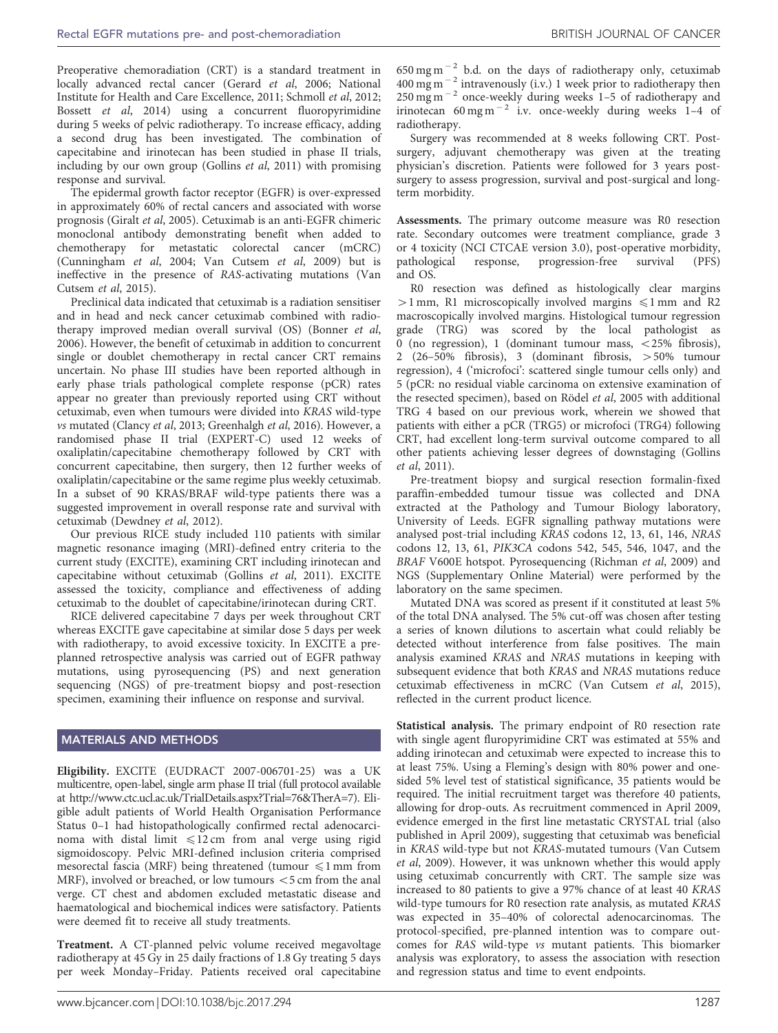Preoperative chemoradiation (CRT) is a standard treatment in locally advanced rectal cancer ([Gerard](#page-8-0) et al, 2006; [National](#page-8-0) [Institute for Health and Care Excellence, 2011; Schmoll](#page-8-0) et al, 2012; Bossett et al[, 2014\)](#page-7-0) using a concurrent fluoropyrimidine during 5 weeks of pelvic radiotherapy. To increase efficacy, adding a second drug has been investigated. The combination of capecitabine and irinotecan has been studied in phase II trials, including by our own group ([Gollins](#page-8-0) *et al*, 2011) with promising response and survival.

The epidermal growth factor receptor (EGFR) is over-expressed in approximately 60% of rectal cancers and associated with worse prognosis (Giralt et al[, 2005\)](#page-8-0). Cetuximab is an anti-EGFR chimeric monoclonal antibody demonstrating benefit when added to chemotherapy for metastatic colorectal cancer (mCRC) ([Cunningham](#page-7-0) et al, 2004; [Van Cutsem](#page-8-0) et al, 2009) but is ineffective in the presence of RAS-activating mutations [\(Van](#page-8-0) [Cutsem](#page-8-0) et al, 2015).

Preclinical data indicated that cetuximab is a radiation sensitiser and in head and neck cancer cetuximab combined with radiotherapy improved median overall survival (OS) [\(Bonner](#page-7-0) et al, [2006](#page-7-0)). However, the benefit of cetuximab in addition to concurrent single or doublet chemotherapy in rectal cancer CRT remains uncertain. No phase III studies have been reported although in early phase trials pathological complete response (pCR) rates appear no greater than previously reported using CRT without cetuximab, even when tumours were divided into KRAS wild-type vs mutated [\(Clancy](#page-7-0) et al, 2013; [Greenhalgh](#page-8-0) et al, 2016). However, a randomised phase II trial (EXPERT-C) used 12 weeks of oxaliplatin/capecitabine chemotherapy followed by CRT with concurrent capecitabine, then surgery, then 12 further weeks of oxaliplatin/capecitabine or the same regime plus weekly cetuximab. In a subset of 90 KRAS/BRAF wild-type patients there was a suggested improvement in overall response rate and survival with cetuximab [\(Dewdney](#page-8-0) et al, 2012).

Our previous RICE study included 110 patients with similar magnetic resonance imaging (MRI)-defined entry criteria to the current study (EXCITE), examining CRT including irinotecan and capecitabine without cetuximab ([Gollins](#page-8-0) et al, 2011). EXCITE assessed the toxicity, compliance and effectiveness of adding cetuximab to the doublet of capecitabine/irinotecan during CRT.

RICE delivered capecitabine 7 days per week throughout CRT whereas EXCITE gave capecitabine at similar dose 5 days per week with radiotherapy, to avoid excessive toxicity. In EXCITE a preplanned retrospective analysis was carried out of EGFR pathway mutations, using pyrosequencing (PS) and next generation sequencing (NGS) of pre-treatment biopsy and post-resection specimen, examining their influence on response and survival.

## MATERIALS AND METHODS

Eligibility. EXCITE (EUDRACT 2007-006701-25) was a UK multicentre, open-label, single arm phase II trial (full protocol available at [http://www.ctc.ucl.ac.uk/TrialDetails.aspx?Trial=76&TherA=7](http://www.ctc.ucl.ac.uk/TrialDetails.aspx?Trial=76&TherA=7).)). Eligible adult patients of World Health Organisation Performance Status 0–1 had histopathologically confirmed rectal adenocarcinoma with distal limit  $\leq 12$  cm from anal verge using rigid sigmoidoscopy. Pelvic MRI-defined inclusion criteria comprised mesorectal fascia (MRF) being threatened (tumour  $\leq 1$  mm from MRF), involved or breached, or low tumours  $<$  5 cm from the anal verge. CT chest and abdomen excluded metastatic disease and haematological and biochemical indices were satisfactory. Patients were deemed fit to receive all study treatments.

Treatment. A CT-planned pelvic volume received megavoltage radiotherapy at 45 Gy in 25 daily fractions of 1.8 Gy treating 5 days per week Monday–Friday. Patients received oral capecitabine

 $650$  mg m<sup>-2</sup> b.d. on the days of radiotherapy only, cetuximab  $400$  mg m<sup>-2</sup> intravenously (i.v.) 1 week prior to radiotherapy then  $250$  mg m<sup>-2</sup> once-weekly during weeks 1-5 of radiotherapy and irinotecan  $60 \text{ mg m}^{-2}$  i.v. once-weekly during weeks 1-4 of radiotherapy.

Surgery was recommended at 8 weeks following CRT. Postsurgery, adjuvant chemotherapy was given at the treating physician's discretion. Patients were followed for 3 years postsurgery to assess progression, survival and post-surgical and longterm morbidity.

Assessments. The primary outcome measure was R0 resection rate. Secondary outcomes were treatment compliance, grade 3 or 4 toxicity (NCI CTCAE version 3.0), post-operative morbidity, pathological response, progression-free survival (PFS) and OS.

R0 resection was defined as histologically clear margins  $>1$  mm, R1 microscopically involved margins  $\leq 1$  mm and R2 macroscopically involved margins. Histological tumour regression grade (TRG) was scored by the local pathologist as 0 (no regression), 1 (dominant tumour mass,  $\langle 25\%$  fibrosis), 2 (26–50% fibrosis), 3 (dominant fibrosis,  $>50\%$  tumour regression), 4 ('microfoci': scattered single tumour cells only) and 5 (pCR: no residual viable carcinoma on extensive examination of the resected specimen), based on Rödel et al[, 2005](#page-8-0) with additional TRG 4 based on our previous work, wherein we showed that patients with either a pCR (TRG5) or microfoci (TRG4) following CRT, had excellent long-term survival outcome compared to all other patients achieving lesser degrees of downstaging [\(Gollins](#page-8-0) et al[, 2011\)](#page-8-0).

Pre-treatment biopsy and surgical resection formalin-fixed paraffin-embedded tumour tissue was collected and DNA extracted at the Pathology and Tumour Biology laboratory, University of Leeds. EGFR signalling pathway mutations were analysed post-trial including KRAS codons 12, 13, 61, 146, NRAS codons 12, 13, 61, PIK3CA codons 542, 545, 546, 1047, and the BRAF V600E hotspot. Pyrosequencing [\(Richman](#page-8-0) et al, 2009) and NGS (Supplementary Online Material) were performed by the laboratory on the same specimen.

Mutated DNA was scored as present if it constituted at least 5% of the total DNA analysed. The 5% cut-off was chosen after testing a series of known dilutions to ascertain what could reliably be detected without interference from false positives. The main analysis examined KRAS and NRAS mutations in keeping with subsequent evidence that both KRAS and NRAS mutations reduce cetuximab effectiveness in mCRC ([Van Cutsem](#page-8-0) et al, 2015), reflected in the current product licence.

Statistical analysis. The primary endpoint of R0 resection rate with single agent fluropyrimidine CRT was estimated at 55% and adding irinotecan and cetuximab were expected to increase this to at least 75%. Using a Fleming's design with 80% power and onesided 5% level test of statistical significance, 35 patients would be required. The initial recruitment target was therefore 40 patients, allowing for drop-outs. As recruitment commenced in April 2009, evidence emerged in the first line metastatic CRYSTAL trial (also published in April 2009), suggesting that cetuximab was beneficial in KRAS wild-type but not KRAS-mutated tumours ([Van Cutsem](#page-8-0) et al[, 2009](#page-8-0)). However, it was unknown whether this would apply using cetuximab concurrently with CRT. The sample size was increased to 80 patients to give a 97% chance of at least 40 KRAS wild-type tumours for R0 resection rate analysis, as mutated KRAS was expected in 35–40% of colorectal adenocarcinomas. The protocol-specified, pre-planned intention was to compare outcomes for RAS wild-type vs mutant patients. This biomarker analysis was exploratory, to assess the association with resection and regression status and time to event endpoints.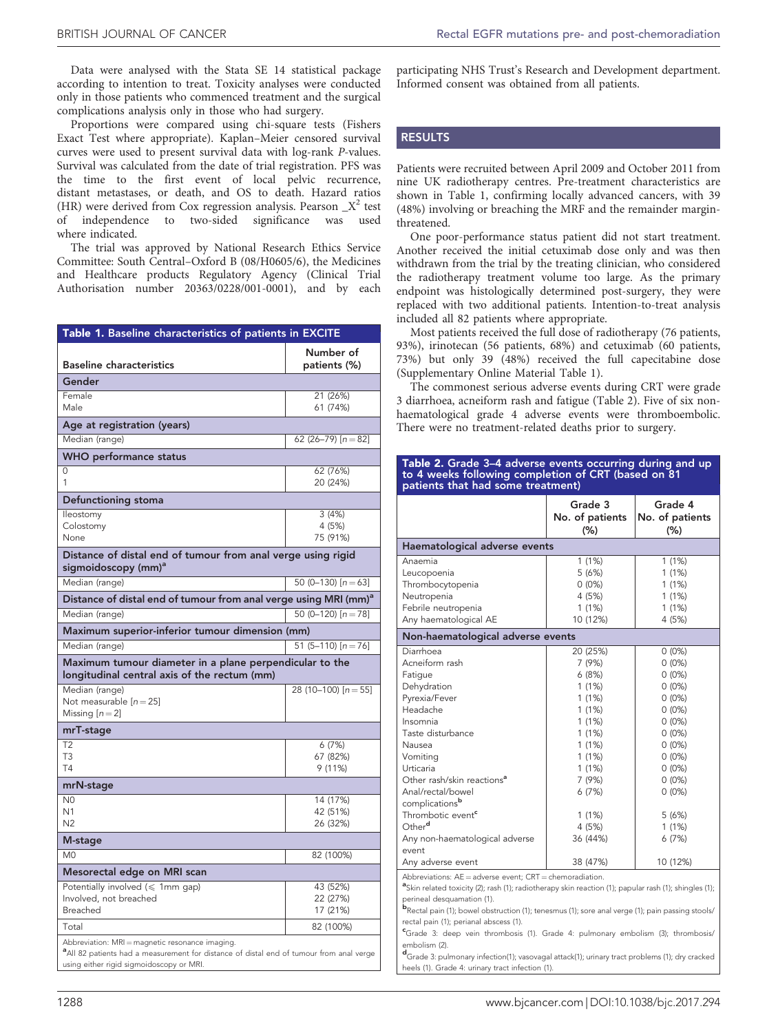Data were analysed with the Stata SE 14 statistical package according to intention to treat. Toxicity analyses were conducted only in those patients who commenced treatment and the surgical complications analysis only in those who had surgery.

Proportions were compared using chi-square tests (Fishers Exact Test where appropriate). Kaplan–Meier censored survival curves were used to present survival data with log-rank P-values. Survival was calculated from the date of trial registration. PFS was the time to the first event of local pelvic recurrence, distant metastases, or death, and OS to death. Hazard ratios (HR) were derived from Cox regression analysis. Pearson  $X^2$  test of independence to two-sided significance was used where indicated.

The trial was approved by National Research Ethics Service Committee: South Central–Oxford B (08/H0605/6), the Medicines and Healthcare products Regulatory Agency (Clinical Trial Authorisation number 20363/0228/001-0001), and by each

| Table 1. Baseline characteristics of patients in EXCITE                                                                                                |                                  |  |  |
|--------------------------------------------------------------------------------------------------------------------------------------------------------|----------------------------------|--|--|
| <b>Baseline characteristics</b>                                                                                                                        | Number of<br>patients (%)        |  |  |
| Gender                                                                                                                                                 |                                  |  |  |
| Female<br>Male                                                                                                                                         | 21 (26%)<br>61 (74%)             |  |  |
| Age at registration (years)                                                                                                                            |                                  |  |  |
| Median (range)                                                                                                                                         | 62 (26-79) $[n=82]$              |  |  |
| <b>WHO</b> performance status                                                                                                                          |                                  |  |  |
| 0<br>1                                                                                                                                                 | 62 (76%)<br>20 (24%)             |  |  |
| Defunctioning stoma                                                                                                                                    |                                  |  |  |
| lleostomy<br>Colostomy<br>None                                                                                                                         | 3(4%)<br>4 (5%)<br>75 (91%)      |  |  |
| Distance of distal end of tumour from anal verge using rigid<br>sigmoidoscopy (mm) <sup>a</sup>                                                        |                                  |  |  |
| Median (range)                                                                                                                                         | 50 (0-130) $[n=63]$              |  |  |
| Distance of distal end of tumour from anal verge using MRI (mm) <sup>a</sup>                                                                           |                                  |  |  |
| Median (range)                                                                                                                                         | 50 (0-120) $[n=78]$              |  |  |
| Maximum superior-inferior tumour dimension (mm)                                                                                                        |                                  |  |  |
| Median (range)                                                                                                                                         | 51 (5-110) $[n=76]$              |  |  |
| Maximum tumour diameter in a plane perpendicular to the<br>longitudinal central axis of the rectum (mm)                                                |                                  |  |  |
| Median (range)<br>Not measurable $[n=25]$<br>Missing $[n=2]$                                                                                           | 28 (10-100) $[n=55]$             |  |  |
| mrT-stage                                                                                                                                              |                                  |  |  |
| T2<br>T <sub>3</sub><br><b>T4</b>                                                                                                                      | 6 (7%)<br>67 (82%)<br>9 (11%)    |  |  |
| mrN-stage                                                                                                                                              |                                  |  |  |
| N <sub>0</sub><br>N <sub>1</sub><br>N <sub>2</sub>                                                                                                     | 14 (17%)<br>42 (51%)<br>26 (32%) |  |  |
| M-stage                                                                                                                                                |                                  |  |  |
| M <sub>0</sub>                                                                                                                                         | 82 (100%)                        |  |  |
| Mesorectal edge on MRI scan                                                                                                                            |                                  |  |  |
| Potentially involved $(\leq 1$ mm gap)<br>Involved, not breached<br>Breached                                                                           | 43 (52%)<br>22 (27%)<br>17 (21%) |  |  |
| Total                                                                                                                                                  | 82 (100%)                        |  |  |
| Abbreviation: MRI = magnetic resonance imaging.<br><sup>a</sup> All 82 patients had a measurement for distance of distal end of tumour from anal verge |                                  |  |  |

using either rigid sigmoidoscopy or MRI.

participating NHS Trust's Research and Development department. Informed consent was obtained from all patients.

# **RESULTS**

Patients were recruited between April 2009 and October 2011 from nine UK radiotherapy centres. Pre-treatment characteristics are shown in Table 1, confirming locally advanced cancers, with 39 (48%) involving or breaching the MRF and the remainder marginthreatened.

One poor-performance status patient did not start treatment. Another received the initial cetuximab dose only and was then withdrawn from the trial by the treating clinician, who considered the radiotherapy treatment volume too large. As the primary endpoint was histologically determined post-surgery, they were replaced with two additional patients. Intention-to-treat analysis included all 82 patients where appropriate.

Most patients received the full dose of radiotherapy (76 patients, 93%), irinotecan (56 patients, 68%) and cetuximab (60 patients, 73%) but only 39 (48%) received the full capecitabine dose (Supplementary Online Material Table 1).

The commonest serious adverse events during CRT were grade 3 diarrhoea, acneiform rash and fatigue (Table 2). Five of six nonhaematological grade 4 adverse events were thromboembolic. There were no treatment-related deaths prior to surgery.

| Table 2. Grade 3–4 adverse events occurring during and up |  |
|-----------------------------------------------------------|--|
| to 4 weeks following completion of CRT (based on 81)      |  |
| patients that had some treatment)                         |  |

|                                                                                                                                                                                                                                                                                                                                                                       | Grade 3<br>No. of patients<br>(%) | Grade 4<br>No. of patients<br>$(\% )$ |  |  |
|-----------------------------------------------------------------------------------------------------------------------------------------------------------------------------------------------------------------------------------------------------------------------------------------------------------------------------------------------------------------------|-----------------------------------|---------------------------------------|--|--|
| Haematological adverse events                                                                                                                                                                                                                                                                                                                                         |                                   |                                       |  |  |
| Anaemia                                                                                                                                                                                                                                                                                                                                                               | 1(1%)                             | 1(1%)                                 |  |  |
| Leucopoenia                                                                                                                                                                                                                                                                                                                                                           | 5(6%)                             | 1(1%)                                 |  |  |
| Thrombocytopenia                                                                                                                                                                                                                                                                                                                                                      | $0(0\%)$                          | 1(1%)                                 |  |  |
| Neutropenia                                                                                                                                                                                                                                                                                                                                                           | 4 (5%)                            | 1(1%)                                 |  |  |
| Febrile neutropenia                                                                                                                                                                                                                                                                                                                                                   | 1(1%)                             | 1(1%)                                 |  |  |
| Any haematological AE                                                                                                                                                                                                                                                                                                                                                 | 10 (12%)                          | 4 (5%)                                |  |  |
| Non-haematological adverse events                                                                                                                                                                                                                                                                                                                                     |                                   |                                       |  |  |
| Diarrhoea                                                                                                                                                                                                                                                                                                                                                             | 20 (25%)                          | $0(0\%)$                              |  |  |
| Acneiform rash                                                                                                                                                                                                                                                                                                                                                        | 7 (9%)                            | $0(0\%)$                              |  |  |
| Fatigue                                                                                                                                                                                                                                                                                                                                                               | 6(8%)                             | $0(0\%)$                              |  |  |
| Dehydration                                                                                                                                                                                                                                                                                                                                                           | 1(1%)                             | $0(0\%)$                              |  |  |
| Pyrexia/Fever                                                                                                                                                                                                                                                                                                                                                         | 1(1%)                             | $0(0\%)$                              |  |  |
| Headache                                                                                                                                                                                                                                                                                                                                                              | 1(1%)                             | $0(0\%)$                              |  |  |
| Insomnia                                                                                                                                                                                                                                                                                                                                                              | 1(1%)                             | $0(0\%)$                              |  |  |
| Taste disturbance                                                                                                                                                                                                                                                                                                                                                     | 1(1%)                             | $0(0\%)$                              |  |  |
| Nausea                                                                                                                                                                                                                                                                                                                                                                | 1(1%)                             | $0(0\%)$                              |  |  |
| Vomiting                                                                                                                                                                                                                                                                                                                                                              | 1(1%)                             | $0(0\%)$                              |  |  |
| Urticaria                                                                                                                                                                                                                                                                                                                                                             | 1(1%)                             | $0(0\%)$                              |  |  |
| Other rash/skin reactions <sup>a</sup>                                                                                                                                                                                                                                                                                                                                | 7(9%)                             | $0(0\%)$                              |  |  |
| Anal/rectal/bowel                                                                                                                                                                                                                                                                                                                                                     | 6(7%)                             | $0(0\%)$                              |  |  |
| complicationsb                                                                                                                                                                                                                                                                                                                                                        |                                   |                                       |  |  |
| Thrombotic event <sup>e</sup>                                                                                                                                                                                                                                                                                                                                         | 1(1%)                             | 5(6%)                                 |  |  |
| Other <sup>d</sup>                                                                                                                                                                                                                                                                                                                                                    | 4 (5%)                            | 1(1%)                                 |  |  |
| Any non-haematological adverse                                                                                                                                                                                                                                                                                                                                        | 36 (44%)                          | 6(7%)                                 |  |  |
| event                                                                                                                                                                                                                                                                                                                                                                 |                                   |                                       |  |  |
| Any adverse event                                                                                                                                                                                                                                                                                                                                                     | 38 (47%)                          | 10 (12%)                              |  |  |
| Abbreviations: $AE =$ adverse event; $CRT =$ chemoradiation.<br><sup>a</sup> Skin related toxicity (2); rash (1); radiotherapy skin reaction (1); papular rash (1); shingles (1);<br>perineal desquamation (1).<br><b>b</b> Rectal pain (1); bowel obstruction (1); tenesmus (1); sore anal verge (1); pain passing stools/<br>rectal pain (1); perianal abscess (1). |                                   |                                       |  |  |

c Grade 3: deep vein thrombosis (1). Grade 4: pulmonary embolism (3); thrombosis/ embolism (2).

d Grade 3: pulmonary infection(1); vasovagal attack(1); urinary tract problems (1); dry cracked heels (1). Grade 4: urinary tract infection (1).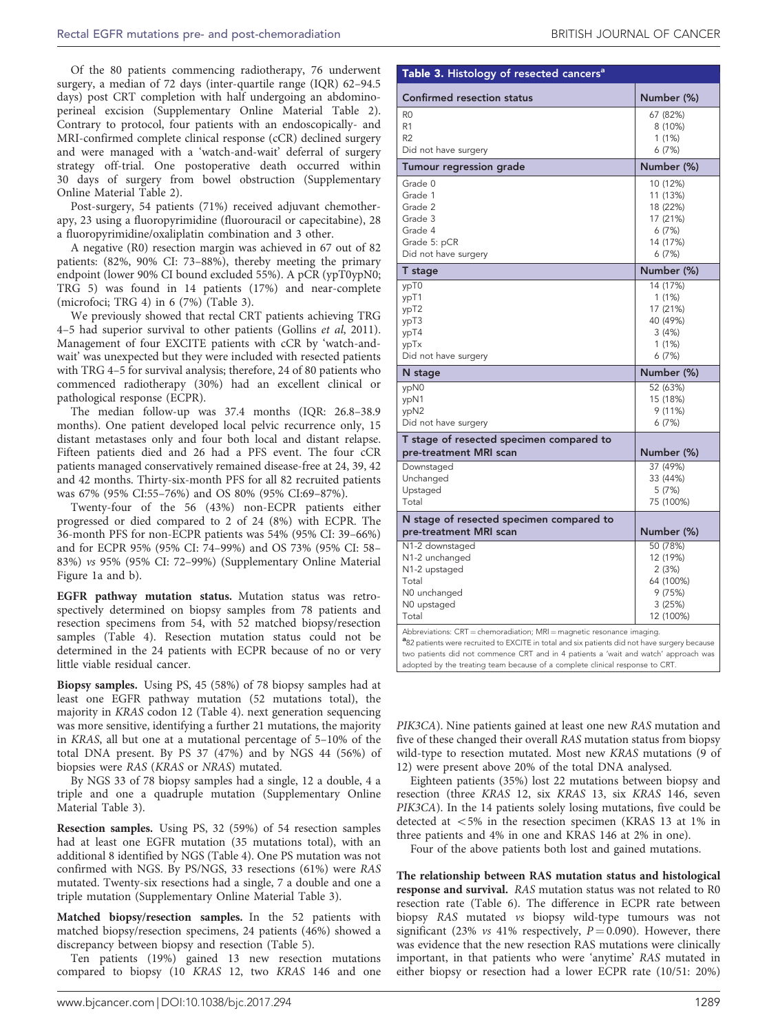Of the 80 patients commencing radiotherapy, 76 underwent surgery, a median of 72 days (inter-quartile range (IQR) 62–94.5 days) post CRT completion with half undergoing an abdominoperineal excision (Supplementary Online Material Table 2). Contrary to protocol, four patients with an endoscopically- and MRI-confirmed complete clinical response (cCR) declined surgery and were managed with a 'watch-and-wait' deferral of surgery strategy off-trial. One postoperative death occurred within 30 days of surgery from bowel obstruction (Supplementary Online Material Table 2).

Post-surgery, 54 patients (71%) received adjuvant chemotherapy, 23 using a fluoropyrimidine (fluorouracil or capecitabine), 28 a fluoropyrimidine/oxaliplatin combination and 3 other.

A negative (R0) resection margin was achieved in 67 out of 82 patients: (82%, 90% CI: 73–88%), thereby meeting the primary endpoint (lower 90% CI bound excluded 55%). A pCR (ypT0ypN0; TRG 5) was found in 14 patients (17%) and near-complete (microfoci; TRG 4) in 6 (7%) (Table 3).

We previously showed that rectal CRT patients achieving TRG 4–5 had superior survival to other patients ([Gollins](#page-8-0) et al, 2011). Management of four EXCITE patients with cCR by 'watch-andwait' was unexpected but they were included with resected patients with TRG 4–5 for survival analysis; therefore, 24 of 80 patients who commenced radiotherapy (30%) had an excellent clinical or pathological response (ECPR).

The median follow-up was 37.4 months (IQR: 26.8–38.9 months). One patient developed local pelvic recurrence only, 15 distant metastases only and four both local and distant relapse. Fifteen patients died and 26 had a PFS event. The four cCR patients managed conservatively remained disease-free at 24, 39, 42 and 42 months. Thirty-six-month PFS for all 82 recruited patients was 67% (95% CI:55–76%) and OS 80% (95% CI:69–87%).

Twenty-four of the 56 (43%) non-ECPR patients either progressed or died compared to 2 of 24 (8%) with ECPR. The 36-month PFS for non-ECPR patients was 54% (95% CI: 39–66%) and for ECPR 95% (95% CI: 74–99%) and OS 73% (95% CI: 58– 83%) vs 95% (95% CI: 72–99%) (Supplementary Online Material Figure 1a and b).

EGFR pathway mutation status. Mutation status was retrospectively determined on biopsy samples from 78 patients and resection specimens from 54, with 52 matched biopsy/resection samples ([Table 4](#page-4-0)). Resection mutation status could not be determined in the 24 patients with ECPR because of no or very little viable residual cancer.

Biopsy samples. Using PS, 45 (58%) of 78 biopsy samples had at least one EGFR pathway mutation (52 mutations total), the majority in KRAS codon 12 ([Table 4](#page-4-0)). next generation sequencing was more sensitive, identifying a further 21 mutations, the majority in KRAS, all but one at a mutational percentage of 5–10% of the total DNA present. By PS 37 (47%) and by NGS 44 (56%) of biopsies were RAS (KRAS or NRAS) mutated.

By NGS 33 of 78 biopsy samples had a single, 12 a double, 4 a triple and one a quadruple mutation (Supplementary Online Material Table 3).

Resection samples. Using PS, 32 (59%) of 54 resection samples had at least one EGFR mutation (35 mutations total), with an additional 8 identified by NGS ([Table 4](#page-4-0)). One PS mutation was not confirmed with NGS. By PS/NGS, 33 resections (61%) were RAS mutated. Twenty-six resections had a single, 7 a double and one a triple mutation (Supplementary Online Material Table 3).

Matched biopsy/resection samples. In the 52 patients with matched biopsy/resection specimens, 24 patients (46%) showed a discrepancy between biopsy and resection [\(Table 5\)](#page-5-0).

Ten patients (19%) gained 13 new resection mutations compared to biopsy (10 KRAS 12, two KRAS 146 and one

| Table 3. Histology of resected cancers <sup>a</sup>                                                 |                                                                              |  |  |  |
|-----------------------------------------------------------------------------------------------------|------------------------------------------------------------------------------|--|--|--|
| <b>Confirmed resection status</b>                                                                   | Number (%)                                                                   |  |  |  |
| R <sub>0</sub><br>R <sub>1</sub><br>R2<br>Did not have surgery                                      | 67 (82%)<br>8 (10%)<br>1 (1%)<br>6(7%)                                       |  |  |  |
| Tumour regression grade                                                                             | Number (%)                                                                   |  |  |  |
| Grade 0<br>Grade 1<br>Grade 2<br>Grade 3<br>Grade 4<br>Grade 5: pCR<br>Did not have surgery         | 10 (12%)<br>11 (13%)<br>18 (22%)<br>17 (21%)<br>6(7%)<br>14 (17%)<br>6(7%)   |  |  |  |
| T stage                                                                                             | Number (%)                                                                   |  |  |  |
| ypT0<br>ypT1<br>ypT2<br>ypT3<br>ypT4<br>ypTx<br>Did not have surgery                                | 14 (17%)<br>1(1%)<br>17 (21%)<br>40 (49%)<br>3(4%)<br>1(1%)<br>6(7%)         |  |  |  |
| N stage                                                                                             | Number (%)                                                                   |  |  |  |
|                                                                                                     |                                                                              |  |  |  |
| ypN0<br>ypN1<br>ypN2<br>Did not have surgery                                                        | 52 (63%)<br>15 (18%)<br>9 (11%)<br>6(7%)                                     |  |  |  |
| T stage of resected specimen compared to<br>pre-treatment MRI scan                                  | Number (%)                                                                   |  |  |  |
| Downstaged<br>Unchanged<br>Upstaged<br>Total                                                        | 37 (49%)<br>33 (44%)<br>5 (7%)<br>75 (100%)                                  |  |  |  |
| N stage of resected specimen compared to<br>pre-treatment MRI scan                                  | Number (%)                                                                   |  |  |  |
| N1-2 downstaged<br>N1-2 unchanged<br>N1-2 upstaged<br>Total<br>N0 unchanged<br>N0 upstaged<br>Total | 50 (78%)<br>12 (19%)<br>2(3%)<br>64 (100%)<br>9(75%)<br>3 (25%)<br>12 (100%) |  |  |  |

PIK3CA). Nine patients gained at least one new RAS mutation and

adopted by the treating team because of a complete clinical response to CRT.

five of these changed their overall RAS mutation status from biopsy wild-type to resection mutated. Most new KRAS mutations (9 of 12) were present above 20% of the total DNA analysed.

Eighteen patients (35%) lost 22 mutations between biopsy and resection (three KRAS 12, six KRAS 13, six KRAS 146, seven PIK3CA). In the 14 patients solely losing mutations, five could be detected at  $<5\%$  in the resection specimen (KRAS 13 at 1% in three patients and 4% in one and KRAS 146 at 2% in one).

Four of the above patients both lost and gained mutations.

The relationship between RAS mutation status and histological response and survival. RAS mutation status was not related to R0 resection rate ([Table 6](#page-6-0)). The difference in ECPR rate between biopsy RAS mutated vs biopsy wild-type tumours was not significant (23% vs 41% respectively,  $P = 0.090$ ). However, there was evidence that the new resection RAS mutations were clinically important, in that patients who were 'anytime' RAS mutated in either biopsy or resection had a lower ECPR rate (10/51: 20%)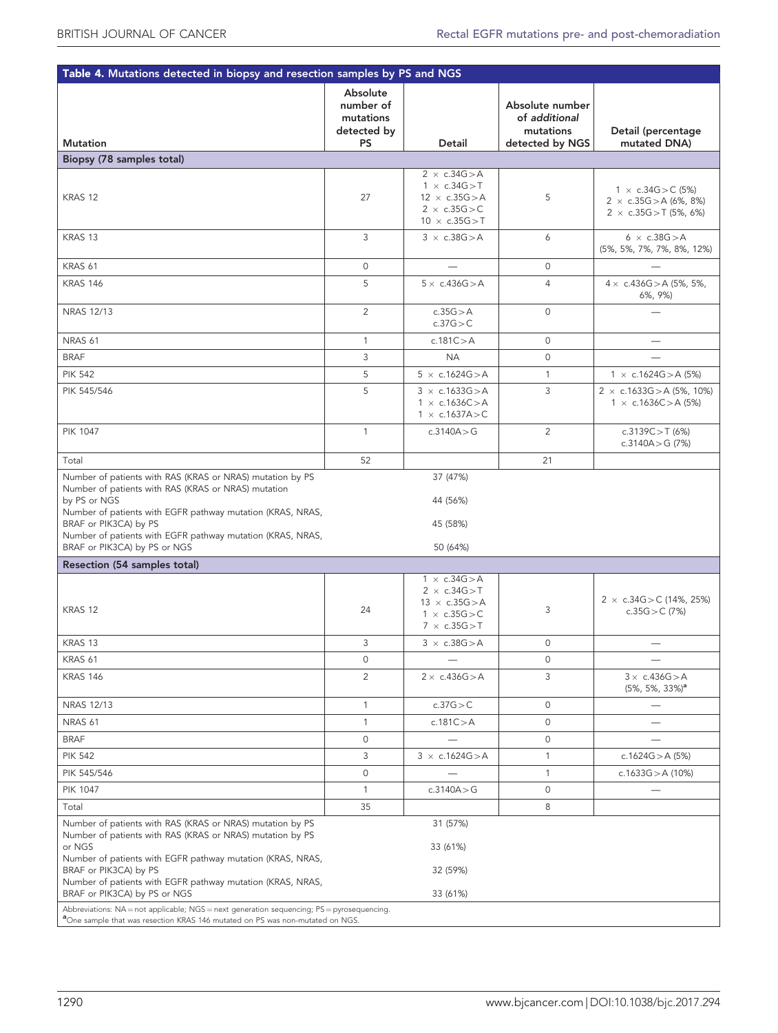<span id="page-4-0"></span>

| Table 4. Mutations detected in biopsy and resection samples by PS and NGS                                                                                                                                                                                                                                             |                                                                |                                                                                                                                               |                                                                  |                                                                                               |  |
|-----------------------------------------------------------------------------------------------------------------------------------------------------------------------------------------------------------------------------------------------------------------------------------------------------------------------|----------------------------------------------------------------|-----------------------------------------------------------------------------------------------------------------------------------------------|------------------------------------------------------------------|-----------------------------------------------------------------------------------------------|--|
| <b>Mutation</b>                                                                                                                                                                                                                                                                                                       | Absolute<br>number of<br>mutations<br>detected by<br><b>PS</b> | Detail                                                                                                                                        | Absolute number<br>of additional<br>mutations<br>detected by NGS | Detail (percentage<br>mutated DNA)                                                            |  |
| Biopsy (78 samples total)                                                                                                                                                                                                                                                                                             |                                                                |                                                                                                                                               |                                                                  |                                                                                               |  |
| KRAS 12                                                                                                                                                                                                                                                                                                               | 27                                                             | $2 \times c.34G > A$<br>$1 \times c.34G > T$<br>$12 \times c.35G > A$<br>$2 \times c.35G$ > C<br>$10 \times c.35G > T$                        | 5                                                                | 1 $\times$ c.34G $>$ C (5%)<br>2 $\times$ c.35G > A (6%, 8%)<br>2 $\times$ c.35G > T (5%, 6%) |  |
| KRAS 13                                                                                                                                                                                                                                                                                                               | 3                                                              | $3 \times c.38G > A$                                                                                                                          | 6                                                                | $6 \times c.38G > A$<br>(5%, 5%, 7%, 7%, 8%, 12%)                                             |  |
| KRAS 61                                                                                                                                                                                                                                                                                                               | 0                                                              |                                                                                                                                               | $\circ$                                                          |                                                                                               |  |
| <b>KRAS 146</b>                                                                                                                                                                                                                                                                                                       | 5                                                              | $5 \times c.436G > A$                                                                                                                         | $\overline{4}$                                                   | 4 $\times$ c.436G > A (5%, 5%,<br>6%, 9%)                                                     |  |
| NRAS 12/13                                                                                                                                                                                                                                                                                                            | $\overline{2}$                                                 | c.35G > A<br>c.37G > C                                                                                                                        | $\circ$                                                          |                                                                                               |  |
| NRAS <sub>61</sub>                                                                                                                                                                                                                                                                                                    | $\mathbf{1}$                                                   | c.181 $C > A$                                                                                                                                 | $\circ$                                                          | $\overline{\phantom{0}}$                                                                      |  |
| <b>BRAF</b>                                                                                                                                                                                                                                                                                                           | 3                                                              | <b>NA</b>                                                                                                                                     | $\circ$                                                          |                                                                                               |  |
| <b>PIK 542</b>                                                                                                                                                                                                                                                                                                        | 5                                                              | $5 \times c.1624G > A$                                                                                                                        | $\mathbf{1}$                                                     | $1 \times c.1624G > A(5%)$                                                                    |  |
| PIK 545/546                                                                                                                                                                                                                                                                                                           | 5                                                              | $3 \times c.1633G > A$<br>$1 \times c.1636C > A$<br>$1 \times c.1637A > C$                                                                    | 3                                                                | 2 $\times$ c.1633G > A (5%, 10%)<br>1 $\times$ c.1636C > A (5%)                               |  |
| <b>PIK 1047</b>                                                                                                                                                                                                                                                                                                       | $\mathbf{1}$                                                   | c.3140A > G                                                                                                                                   | $\overline{2}$                                                   | c.3139C > T $(6%)$<br>c.3140A > G $(7%)$                                                      |  |
| Total                                                                                                                                                                                                                                                                                                                 | 52                                                             |                                                                                                                                               | 21                                                               |                                                                                               |  |
| Number of patients with RAS (KRAS or NRAS) mutation<br>by PS or NGS<br>Number of patients with EGFR pathway mutation (KRAS, NRAS,<br>BRAF or PIK3CA) by PS<br>Number of patients with EGFR pathway mutation (KRAS, NRAS,<br>BRAF or PIK3CA) by PS or NGS                                                              |                                                                | 44 (56%)<br>45 (58%)<br>50 (64%)                                                                                                              |                                                                  |                                                                                               |  |
| Resection (54 samples total)                                                                                                                                                                                                                                                                                          |                                                                |                                                                                                                                               |                                                                  |                                                                                               |  |
| KRAS 12<br>KRAS 13                                                                                                                                                                                                                                                                                                    | 24<br>3                                                        | $1 \times c.34G > A$<br>$2 \times c.34G > T$<br>$13 \times c.35G > A$<br>$1 \times c.35G > C$<br>$7 \times c.35G > T$<br>$3 \times c.38G$ > A | 3<br>0                                                           | 2 $\times$ c.34G > C (14%, 25%)<br>c.35G $>$ C (7%)                                           |  |
| KRAS 61                                                                                                                                                                                                                                                                                                               | 0                                                              |                                                                                                                                               | 0                                                                |                                                                                               |  |
| <b>KRAS 146</b>                                                                                                                                                                                                                                                                                                       | $\overline{2}$                                                 | $2 \times c.436G > A$                                                                                                                         | 3                                                                | $3 \times c.436G > A$<br>$(5\%, 5\%, 33\%)^a$                                                 |  |
| NRAS 12/13                                                                                                                                                                                                                                                                                                            | $\mathbf{1}$                                                   | c.37G > C                                                                                                                                     | 0                                                                | $\overline{\phantom{0}}$                                                                      |  |
| NRAS <sub>61</sub>                                                                                                                                                                                                                                                                                                    | $\mathbf{1}$                                                   | c.181 $C > A$                                                                                                                                 | 0                                                                |                                                                                               |  |
| <b>BRAF</b>                                                                                                                                                                                                                                                                                                           | 0                                                              |                                                                                                                                               | 0                                                                |                                                                                               |  |
| <b>PIK 542</b>                                                                                                                                                                                                                                                                                                        | 3                                                              | $3 \times c.1624G > A$                                                                                                                        | 1                                                                | c.1624G $>$ A (5%)                                                                            |  |
| PIK 545/546                                                                                                                                                                                                                                                                                                           | 0                                                              |                                                                                                                                               | 1                                                                | c.1633G $>$ A (10%)                                                                           |  |
| <b>PIK 1047</b>                                                                                                                                                                                                                                                                                                       | $\mathbf{1}$                                                   | c.3140A > G                                                                                                                                   | 0                                                                |                                                                                               |  |
| Total                                                                                                                                                                                                                                                                                                                 | 35                                                             |                                                                                                                                               | 8                                                                |                                                                                               |  |
| Number of patients with RAS (KRAS or NRAS) mutation by PS<br>Number of patients with RAS (KRAS or NRAS) mutation by PS<br>or NGS<br>Number of patients with EGFR pathway mutation (KRAS, NRAS,<br>BRAF or PIK3CA) by PS<br>Number of patients with EGFR pathway mutation (KRAS, NRAS,<br>BRAF or PIK3CA) by PS or NGS |                                                                | 31 (57%)<br>33 (61%)<br>32 (59%)<br>33 (61%)                                                                                                  |                                                                  |                                                                                               |  |
| Abbreviations: NA = not applicable; NGS = next generation sequencing; PS = pyrosequencing.<br><sup>a</sup> One sample that was resection KRAS 146 mutated on PS was non-mutated on NGS.                                                                                                                               |                                                                |                                                                                                                                               |                                                                  |                                                                                               |  |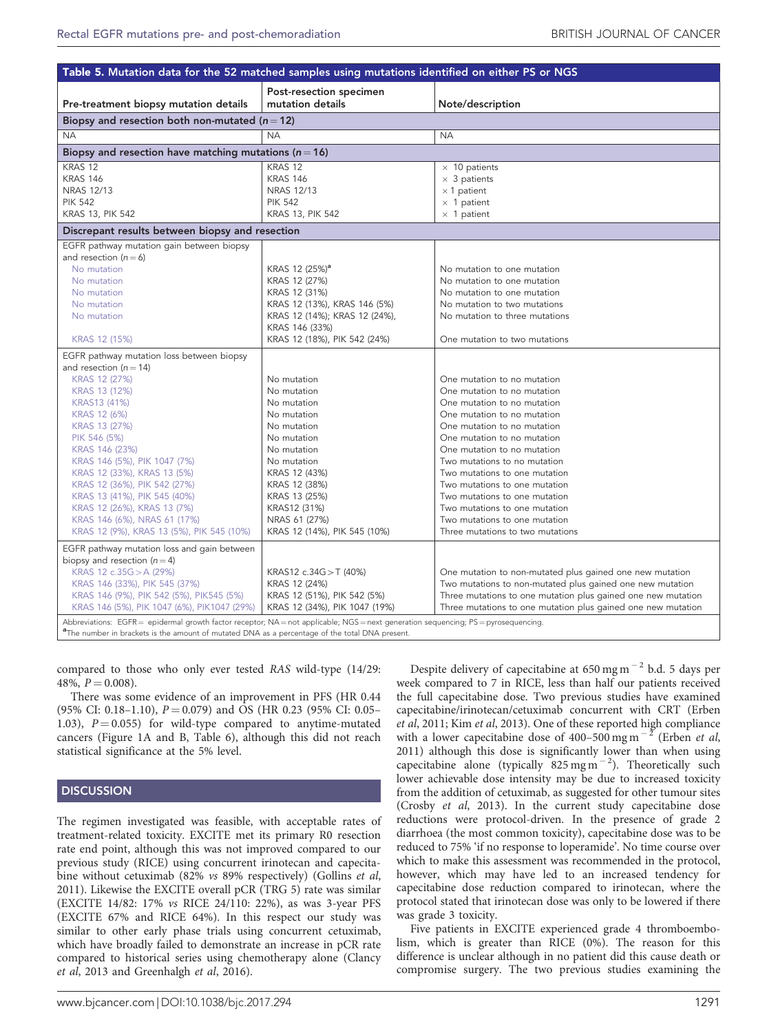<span id="page-5-0"></span>

| Table 5. Mutation data for the 52 matched samples using mutations identified on either PS or NGS                                    |                                             |                                                              |  |  |
|-------------------------------------------------------------------------------------------------------------------------------------|---------------------------------------------|--------------------------------------------------------------|--|--|
| Pre-treatment biopsy mutation details                                                                                               | Post-resection specimen<br>mutation details | Note/description                                             |  |  |
| Biopsy and resection both non-mutated ( $n = 12$ )                                                                                  |                                             |                                                              |  |  |
| <b>NA</b>                                                                                                                           | <b>NA</b>                                   | <b>NA</b>                                                    |  |  |
| Biopsy and resection have matching mutations ( $n = 16$ )                                                                           |                                             |                                                              |  |  |
| KRAS <sub>12</sub>                                                                                                                  | KRAS 12                                     | $\times$ 10 patients                                         |  |  |
| <b>KRAS 146</b>                                                                                                                     | <b>KRAS 146</b>                             | $\times$ 3 patients                                          |  |  |
| <b>NRAS 12/13</b>                                                                                                                   | <b>NRAS 12/13</b>                           | $\times$ 1 patient                                           |  |  |
| <b>PIK 542</b>                                                                                                                      | <b>PIK 542</b>                              | $\times$ 1 patient                                           |  |  |
| <b>KRAS 13, PIK 542</b>                                                                                                             | <b>KRAS 13, PIK 542</b>                     | $\times$ 1 patient                                           |  |  |
| Discrepant results between biopsy and resection                                                                                     |                                             |                                                              |  |  |
| EGFR pathway mutation gain between biopsy                                                                                           |                                             |                                                              |  |  |
| and resection $(n=6)$                                                                                                               |                                             |                                                              |  |  |
| No mutation                                                                                                                         | KRAS 12 (25%) <sup>a</sup>                  | No mutation to one mutation                                  |  |  |
| No mutation                                                                                                                         | KRAS 12 (27%)                               | No mutation to one mutation                                  |  |  |
| No mutation                                                                                                                         | KRAS 12 (31%)                               | No mutation to one mutation                                  |  |  |
| No mutation                                                                                                                         | KRAS 12 (13%), KRAS 146 (5%)                | No mutation to two mutations                                 |  |  |
| No mutation                                                                                                                         | KRAS 12 (14%); KRAS 12 (24%),               | No mutation to three mutations                               |  |  |
|                                                                                                                                     | KRAS 146 (33%)                              |                                                              |  |  |
| KRAS 12 (15%)                                                                                                                       | KRAS 12 (18%), PIK 542 (24%)                | One mutation to two mutations                                |  |  |
| EGFR pathway mutation loss between biopsy                                                                                           |                                             |                                                              |  |  |
| and resection ( $n = 14$ )                                                                                                          |                                             |                                                              |  |  |
| KRAS 12 (27%)                                                                                                                       | No mutation                                 | One mutation to no mutation                                  |  |  |
| KRAS 13 (12%)                                                                                                                       | No mutation                                 | One mutation to no mutation                                  |  |  |
| KRAS13 (41%)                                                                                                                        | No mutation                                 | One mutation to no mutation                                  |  |  |
| KRAS 12 (6%)                                                                                                                        | No mutation                                 | One mutation to no mutation                                  |  |  |
| KRAS 13 (27%)                                                                                                                       | No mutation                                 | One mutation to no mutation                                  |  |  |
| PIK 546 (5%)                                                                                                                        | No mutation                                 | One mutation to no mutation                                  |  |  |
| KRAS 146 (23%)                                                                                                                      | No mutation                                 | One mutation to no mutation                                  |  |  |
| KRAS 146 (5%), PIK 1047 (7%)                                                                                                        | No mutation                                 | Two mutations to no mutation                                 |  |  |
| KRAS 12 (33%), KRAS 13 (5%)                                                                                                         | KRAS 12 (43%)                               | Two mutations to one mutation                                |  |  |
| KRAS 12 (36%), PIK 542 (27%)                                                                                                        | KRAS 12 (38%)                               | Two mutations to one mutation                                |  |  |
| KRAS 13 (41%), PIK 545 (40%)                                                                                                        | KRAS 13 (25%)                               | Two mutations to one mutation                                |  |  |
| KRAS 12 (26%), KRAS 13 (7%)                                                                                                         | KRAS12 (31%)                                | Two mutations to one mutation                                |  |  |
| KRAS 146 (6%), NRAS 61 (17%)                                                                                                        | NRAS 61 (27%)                               | Two mutations to one mutation                                |  |  |
| KRAS 12 (9%), KRAS 13 (5%), PIK 545 (10%)                                                                                           | KRAS 12 (14%), PIK 545 (10%)                | Three mutations to two mutations                             |  |  |
| EGFR pathway mutation loss and gain between                                                                                         |                                             |                                                              |  |  |
| biopsy and resection $(n=4)$                                                                                                        |                                             |                                                              |  |  |
| KRAS 12 $c.35G > A(29%)$                                                                                                            | KRAS12 c.34G > T (40%)                      | One mutation to non-mutated plus gained one new mutation     |  |  |
| KRAS 146 (33%), PIK 545 (37%)                                                                                                       | KRAS 12 (24%)                               | Two mutations to non-mutated plus gained one new mutation    |  |  |
| KRAS 146 (9%), PIK 542 (5%), PIK545 (5%)                                                                                            | KRAS 12 (51%), PIK 542 (5%)                 | Three mutations to one mutation plus gained one new mutation |  |  |
| KRAS 146 (5%), PIK 1047 (6%), PIK1047 (29%)                                                                                         | KRAS 12 (34%), PIK 1047 (19%)               | Three mutations to one mutation plus gained one new mutation |  |  |
| Abbreviations: EGFR = epidermal growth factor receptor; NA = not applicable; NGS = next generation sequencing; PS = pyrosequencing. |                                             |                                                              |  |  |

Abbreviations: EGFR= epidermal growth factor receptor; NA=not applicable; NGS=next generation sequencing; PS=pyrosequencing.<br><sup>a</sup>The number in brackets is the amount of mutated DNA as a percentage of the total DNA present.

compared to those who only ever tested RAS wild-type (14/29:  $48\%$ ,  $P = 0.008$ ).

There was some evidence of an improvement in PFS (HR 0.44 (95% CI: 0.18–1.10),  $P = 0.079$  and OS (HR 0.23 (95% CI: 0.05– 1.03),  $P = 0.055$ ) for wild-type compared to anytime-mutated cancers ([Figure 1A and B, Table 6](#page-6-0)), although this did not reach statistical significance at the 5% level.

# **DISCUSSION**

The regimen investigated was feasible, with acceptable rates of treatment-related toxicity. EXCITE met its primary R0 resection rate end point, although this was not improved compared to our previous study (RICE) using concurrent irinotecan and capecita-bine without cetuximab (82% vs 89% respectively) ([Gollins](#page-8-0) et al, [2011](#page-8-0)). Likewise the EXCITE overall pCR (TRG 5) rate was similar (EXCITE 14/82: 17% vs RICE 24/110: 22%), as was 3-year PFS (EXCITE 67% and RICE 64%). In this respect our study was similar to other early phase trials using concurrent cetuximab, which have broadly failed to demonstrate an increase in pCR rate compared to historical series using chemotherapy alone [\(Clancy](#page-7-0) et al[, 2013](#page-7-0) and [Greenhalgh](#page-8-0) et al, 2016).

Despite delivery of capecitabine at  $650$  mg m<sup> $-2$ </sup> b.d. 5 days per week compared to 7 in RICE, less than half our patients received the full capecitabine dose. Two previous studies have examined capecitabine/irinotecan/cetuximab concurrent with CRT ([Erben](#page-8-0) et al[, 2011](#page-8-0); Kim et al[, 2013\)](#page-8-0). One of these reported high compliance with a lower capecitabine dose of 400–500 mg m<sup>-2</sup> [\(Erben](#page-8-0) et al, [2011](#page-8-0)) although this dose is significantly lower than when using capecitabine alone (typically  $825 \text{ mg m}^{-2}$ ). Theoretically such lower achievable dose intensity may be due to increased toxicity from the addition of cetuximab, as suggested for other tumour sites ([Crosby](#page-7-0) et al, 2013). In the current study capecitabine dose reductions were protocol-driven. In the presence of grade 2 diarrhoea (the most common toxicity), capecitabine dose was to be reduced to 75% 'if no response to loperamide'. No time course over which to make this assessment was recommended in the protocol, however, which may have led to an increased tendency for capecitabine dose reduction compared to irinotecan, where the protocol stated that irinotecan dose was only to be lowered if there was grade 3 toxicity.

Five patients in EXCITE experienced grade 4 thromboembolism, which is greater than RICE (0%). The reason for this difference is unclear although in no patient did this cause death or compromise surgery. The two previous studies examining the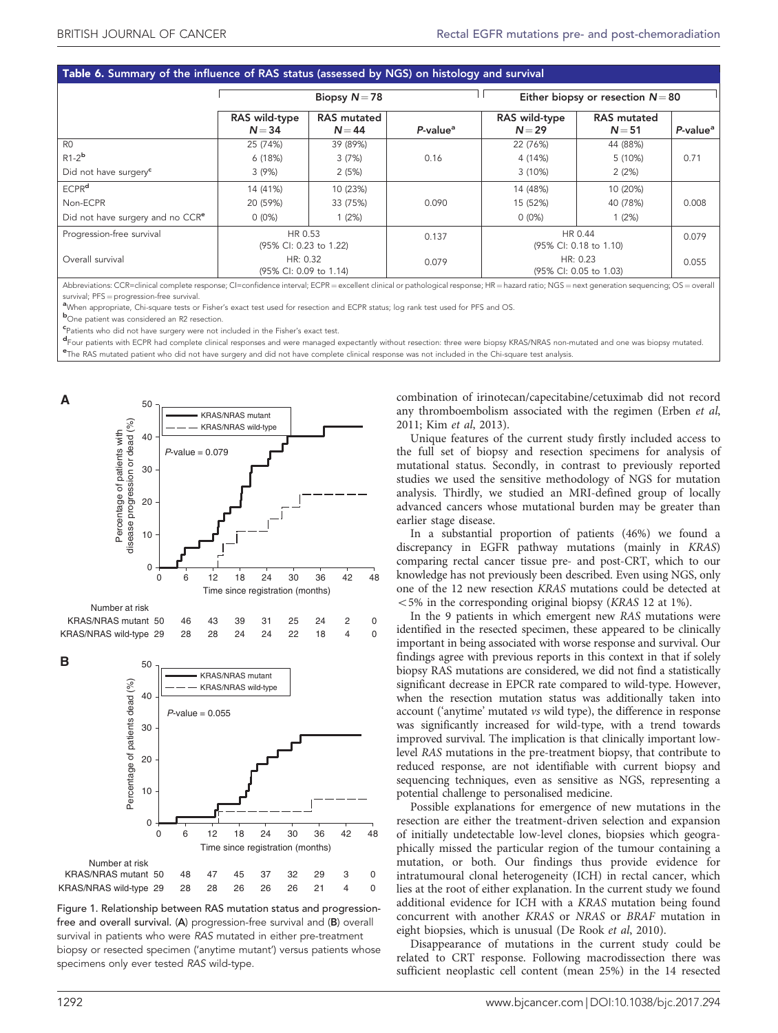# <span id="page-6-0"></span>Table 6. Summary of the influence of RAS status (assessed by NGS) on histology and survival

|                                              | Biopsy $N = 78$                    |                                | Either biopsy or resection $N = 80$ |                                    |                                |                      |
|----------------------------------------------|------------------------------------|--------------------------------|-------------------------------------|------------------------------------|--------------------------------|----------------------|
|                                              | RAS wild-type<br>$N = 34$          | <b>RAS</b> mutated<br>$N = 44$ | P-value <sup>a</sup>                | RAS wild-type<br>$N=29$            | <b>RAS</b> mutated<br>$N = 51$ | P-value <sup>a</sup> |
| R <sub>0</sub>                               | 25 (74%)                           | 39 (89%)                       |                                     | 22 (76%)                           | 44 (88%)                       |                      |
| $R1-2b$                                      | 6(18%)                             | 3(7%)                          | 0.16                                | 4 (14%)                            | 5 (10%)                        | 0.71                 |
| Did not have surgery <sup>c</sup>            | 3(9%)                              | 2(5%)                          |                                     | $3(10\%)$                          | 2(2%)                          |                      |
| <b>ECPR<sup>d</sup></b>                      | 14 (41%)                           | 10 (23%)                       |                                     | 14 (48%)                           | 10 (20%)                       |                      |
| Non-ECPR                                     | 20 (59%)                           | 33 (75%)                       | 0.090                               | 15 (52%)                           | 40 (78%)                       | 0.008                |
| Did not have surgery and no CCR <sup>e</sup> | $0(0\%)$                           | 1(2%)                          |                                     | $0(0\%)$                           | 1(2%)                          |                      |
| Progression-free survival                    | HR 0.53<br>(95% CI: 0.23 to 1.22)  |                                | 0.137                               | HR 0.44<br>(95% CI: 0.18 to 1.10)  |                                | 0.079                |
| Overall survival                             | HR: 0.32<br>(95% CI: 0.09 to 1.14) |                                | 0.079                               | HR: 0.23<br>(95% CI: 0.05 to 1.03) |                                | 0.055                |

Abbreviations: CCR=clinical complete response; CI=confidence interval; ECPR = excellent clinical or pathological response; HR = hazard ratio; NGS = next generation sequencing; OS = overall survival; PFS = progression-free survival.

<sup>a</sup>When appropriate. Chi-square tests or Fisher's exact test used for resection and ECPR status; log rank test used for PFS and OS

**b**<br>One patient was considered an R2 resection.

c Patients who did not have surgery were not included in the Fisher's exact test.

d Four patients with ECPR had complete clinical responses and were managed expectantly without resection: three were biopsy KRAS/NRAS non-mutated and one was biopsy mutated.<br>The BAS mutated patient who did not have expense  $e$ The RAS mutated patient who did not have surgery and did not have complete clinical response was not included in the Chi-square test analysis.



Figure 1. Relationship between RAS mutation status and progressionfree and overall survival. (A) progression-free survival and (B) overall survival in patients who were RAS mutated in either pre-treatment biopsy or resected specimen ('anytime mutant') versus patients whose specimens only ever tested RAS wild-type.

combination of irinotecan/capecitabine/cetuximab did not record any thromboembolism associated with the regimen ([Erben](#page-8-0) et al, [2011](#page-8-0); Kim et al[, 2013\)](#page-8-0).

Unique features of the current study firstly included access to the full set of biopsy and resection specimens for analysis of mutational status. Secondly, in contrast to previously reported studies we used the sensitive methodology of NGS for mutation analysis. Thirdly, we studied an MRI-defined group of locally advanced cancers whose mutational burden may be greater than earlier stage disease.

In a substantial proportion of patients (46%) we found a discrepancy in EGFR pathway mutations (mainly in KRAS) comparing rectal cancer tissue pre- and post-CRT, which to our knowledge has not previously been described. Even using NGS, only one of the 12 new resection KRAS mutations could be detected at  $<$  5% in the corresponding original biopsy (*KRAS* 12 at 1%).

In the 9 patients in which emergent new RAS mutations were identified in the resected specimen, these appeared to be clinically important in being associated with worse response and survival. Our findings agree with previous reports in this context in that if solely biopsy RAS mutations are considered, we did not find a statistically significant decrease in EPCR rate compared to wild-type. However, when the resection mutation status was additionally taken into account ('anytime' mutated vs wild type), the difference in response was significantly increased for wild-type, with a trend towards improved survival. The implication is that clinically important lowlevel RAS mutations in the pre-treatment biopsy, that contribute to reduced response, are not identifiable with current biopsy and sequencing techniques, even as sensitive as NGS, representing a potential challenge to personalised medicine.

Possible explanations for emergence of new mutations in the resection are either the treatment-driven selection and expansion of initially undetectable low-level clones, biopsies which geographically missed the particular region of the tumour containing a mutation, or both. Our findings thus provide evidence for intratumoural clonal heterogeneity (ICH) in rectal cancer, which lies at the root of either explanation. In the current study we found additional evidence for ICH with a KRAS mutation being found concurrent with another KRAS or NRAS or BRAF mutation in eight biopsies, which is unusual ([De Rook](#page-7-0) et al, 2010).

Disappearance of mutations in the current study could be related to CRT response. Following macrodissection there was sufficient neoplastic cell content (mean 25%) in the 14 resected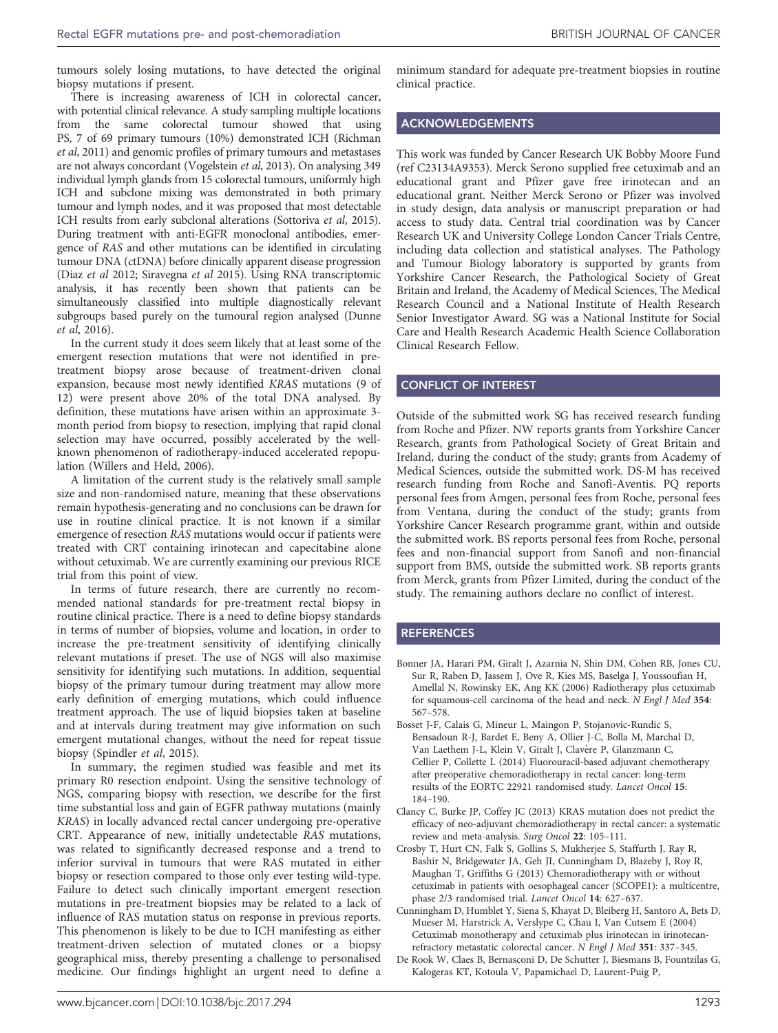<span id="page-7-0"></span>tumours solely losing mutations, to have detected the original biopsy mutations if present.

There is increasing awareness of ICH in colorectal cancer, with potential clinical relevance. A study sampling multiple locations from the same colorectal tumour showed that using PS, 7 of 69 primary tumours (10%) demonstrated ICH ([Richman](#page-8-0) et al[, 2011](#page-8-0)) and genomic profiles of primary tumours and metastases are not always concordant [\(Vogelstein](#page-8-0) et al, 2013). On analysing 349 individual lymph glands from 15 colorectal tumours, uniformly high ICH and subclone mixing was demonstrated in both primary tumour and lymph nodes, and it was proposed that most detectable ICH results from early subclonal alterations [\(Sottoriva](#page-8-0) et al, 2015). During treatment with anti-EGFR monoclonal antibodies, emergence of RAS and other mutations can be identified in circulating tumour DNA (ctDNA) before clinically apparent disease progression (Diaz et al [2012; Siravegna](#page-8-0) et al 2015). Using RNA transcriptomic analysis, it has recently been shown that patients can be simultaneously classified into multiple diagnostically relevant subgroups based purely on the tumoural region analysed ([Dunne](#page-8-0) et al[, 2016\)](#page-8-0).

In the current study it does seem likely that at least some of the emergent resection mutations that were not identified in pretreatment biopsy arose because of treatment-driven clonal expansion, because most newly identified KRAS mutations (9 of 12) were present above 20% of the total DNA analysed. By definition, these mutations have arisen within an approximate 3 month period from biopsy to resection, implying that rapid clonal selection may have occurred, possibly accelerated by the wellknown phenomenon of radiotherapy-induced accelerated repopulation [\(Willers and Held, 2006\)](#page-8-0).

A limitation of the current study is the relatively small sample size and non-randomised nature, meaning that these observations remain hypothesis-generating and no conclusions can be drawn for use in routine clinical practice. It is not known if a similar emergence of resection RAS mutations would occur if patients were treated with CRT containing irinotecan and capecitabine alone without cetuximab. We are currently examining our previous RICE trial from this point of view.

In terms of future research, there are currently no recommended national standards for pre-treatment rectal biopsy in routine clinical practice. There is a need to define biopsy standards in terms of number of biopsies, volume and location, in order to increase the pre-treatment sensitivity of identifying clinically relevant mutations if preset. The use of NGS will also maximise sensitivity for identifying such mutations. In addition, sequential biopsy of the primary tumour during treatment may allow more early definition of emerging mutations, which could influence treatment approach. The use of liquid biopsies taken at baseline and at intervals during treatment may give information on such emergent mutational changes, without the need for repeat tissue biopsy ([Spindler](#page-8-0) et al, 2015).

In summary, the regimen studied was feasible and met its primary R0 resection endpoint. Using the sensitive technology of NGS, comparing biopsy with resection, we describe for the first time substantial loss and gain of EGFR pathway mutations (mainly KRAS) in locally advanced rectal cancer undergoing pre-operative CRT. Appearance of new, initially undetectable RAS mutations, was related to significantly decreased response and a trend to inferior survival in tumours that were RAS mutated in either biopsy or resection compared to those only ever testing wild-type. Failure to detect such clinically important emergent resection mutations in pre-treatment biopsies may be related to a lack of influence of RAS mutation status on response in previous reports. This phenomenon is likely to be due to ICH manifesting as either treatment-driven selection of mutated clones or a biopsy geographical miss, thereby presenting a challenge to personalised medicine. Our findings highlight an urgent need to define a

minimum standard for adequate pre-treatment biopsies in routine clinical practice.

## ACKNOWLEDGEMENTS

This work was funded by Cancer Research UK Bobby Moore Fund (ref C23134A9353). Merck Serono supplied free cetuximab and an educational grant and Pfizer gave free irinotecan and an educational grant. Neither Merck Serono or Pfizer was involved in study design, data analysis or manuscript preparation or had access to study data. Central trial coordination was by Cancer Research UK and University College London Cancer Trials Centre, including data collection and statistical analyses. The Pathology and Tumour Biology laboratory is supported by grants from Yorkshire Cancer Research, the Pathological Society of Great Britain and Ireland, the Academy of Medical Sciences, The Medical Research Council and a National Institute of Health Research Senior Investigator Award. SG was a National Institute for Social Care and Health Research Academic Health Science Collaboration Clinical Research Fellow.

## CONFLICT OF INTEREST

Outside of the submitted work SG has received research funding from Roche and Pfizer. NW reports grants from Yorkshire Cancer Research, grants from Pathological Society of Great Britain and Ireland, during the conduct of the study; grants from Academy of Medical Sciences, outside the submitted work. DS-M has received research funding from Roche and Sanofi-Aventis. PQ reports personal fees from Amgen, personal fees from Roche, personal fees from Ventana, during the conduct of the study; grants from Yorkshire Cancer Research programme grant, within and outside the submitted work. BS reports personal fees from Roche, personal fees and non-financial support from Sanofi and non-financial support from BMS, outside the submitted work. SB reports grants from Merck, grants from Pfizer Limited, during the conduct of the study. The remaining authors declare no conflict of interest.

## **REFERENCES**

- Bonner JA, Harari PM, Giralt J, Azarnia N, Shin DM, Cohen RB, Jones CU, Sur R, Raben D, Jassem J, Ove R, Kies MS, Baselga J, Youssoufian H, Amellal N, Rowinsky EK, Ang KK (2006) Radiotherapy plus cetuximab for squamous-cell carcinoma of the head and neck. N Engl J Med 354: 567–578.
- Bosset J-F, Calais G, Mineur L, Maingon P, Stojanovic-Rundic S, Bensadoun R-J, Bardet E, Beny A, Ollier J-C, Bolla M, Marchal D, Van Laethem J-L, Klein V, Giralt J, Clavère P, Glanzmann C, Cellier P, Collette L (2014) Fluorouracil-based adjuvant chemotherapy after preoperative chemoradiotherapy in rectal cancer: long-term results of the EORTC 22921 randomised study. Lancet Oncol 15: 184–190.
- Clancy C, Burke JP, Coffey JC (2013) KRAS mutation does not predict the efficacy of neo-adjuvant chemoradiotherapy in rectal cancer: a systematic review and meta-analysis. Surg Oncol 22: 105–111.
- Crosby T, Hurt CN, Falk S, Gollins S, Mukherjee S, Staffurth J, Ray R, Bashir N, Bridgewater JA, Geh JI, Cunningham D, Blazeby J, Roy R, Maughan T, Griffiths G (2013) Chemoradiotherapy with or without cetuximab in patients with oesophageal cancer (SCOPE1): a multicentre, phase 2/3 randomised trial. Lancet Oncol 14: 627–637.
- Cunningham D, Humblet Y, Siena S, Khayat D, Bleiberg H, Santoro A, Bets D, Mueser M, Harstrick A, Verslype C, Chau I, Van Cutsem E (2004) Cetuximab monotherapy and cetuximab plus irinotecan in irinotecanrefractory metastatic colorectal cancer. N Engl J Med 351: 337–345.
- De Rook W, Claes B, Bernasconi D, De Schutter J, Biesmans B, Fountzilas G, Kalogeras KT, Kotoula V, Papamichael D, Laurent-Puig P,